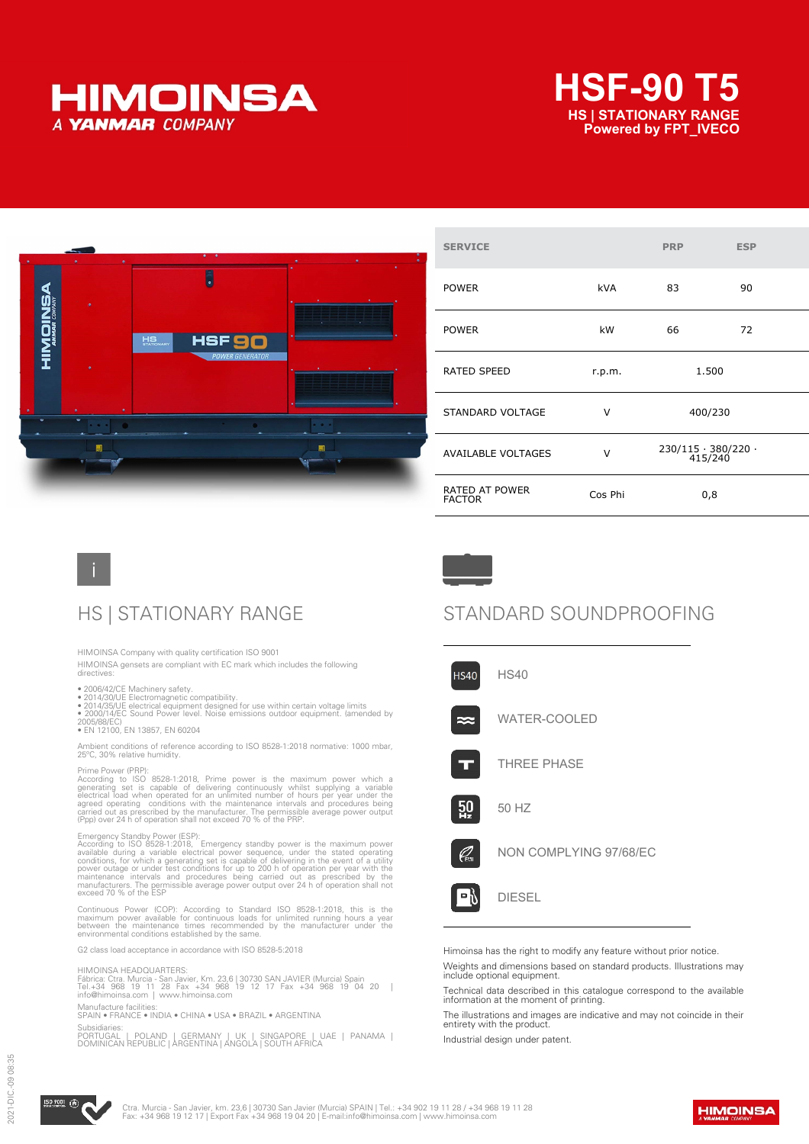





| <b>SERVICE</b>                         |            | <b>PRP</b>                           | <b>ESP</b> |
|----------------------------------------|------------|--------------------------------------|------------|
| <b>POWER</b>                           | <b>kVA</b> | 83                                   | 90         |
| <b>POWER</b>                           | kW         | 66                                   | 72         |
| RATED SPEED                            | r.p.m.     | 1.500                                |            |
| STANDARD VOLTAGE                       | V          | 400/230                              |            |
| <b>AVAILABLE VOLTAGES</b>              | $\vee$     | $230/115 \cdot 380/220$ .<br>415/240 |            |
| <b>RATED AT POWER</b><br><b>FACTOR</b> | Cos Phi    | 0,8                                  |            |

HIMOINSA Company with quality certification ISO 9001

HIMOINSA gensets are compliant with EC mark which includes the following directives:

- 
- 
- 2006/42/CE Machinery safety.<br>• 2014/30/UE Electromagnetic compatibility.<br>• 2014/35/UE electrical equipment designed for use within certain voltage limits<br>• 2000/14/EC Sound Power level. Noise emissions outdoor equipment.

2005/88/EC) • EN 12100, EN 13857, EN 60204

Ambient conditions of reference according to ISO 8528-1:2018 normative: 1000 mbar, 25ºC, 30% relative humidity.

Prime Power (PRP):<br>According to ISO 8528-1:2018, Prime power is the maximum power which a<br>generating set is capable of delivering continuously whilst supplying a variable<br>electrical load when operated for an unlimited numb

Emergency Standby Power (ESP):<br>According to ISO 8528-1:2018, Emergency standby power is the maximum power<br>available during a variable electrical power sequence, under the stated operating<br>conditions, for which a generating

Continuous Power (COP): According to Standard ISO 8528-1:2018, this is the<br>maximum power available for continuous loads for unlimited running hours a year<br>between the maintenance times recommended by the manufacturer under

G2 class load acceptance in accordance with ISO 8528-5:2018

#### HIMOINSA HEADQUARTERS:

Fábrica: Ctra. Murcia - San Javier, Km. 23,6 | 30730 SAN JAVIER (Murcia) Spain<br>Tel.+34 968 19 11 28 Fax +34 968 19 12 17 Fax +34 968 19 04 20 |<br>info@himoinsa.com | www.himoinsa.com

Manufacture facilities: SPAIN • FRANCE • INDIA • CHINA • USA • BRAZIL • ARGENTINA

Subsidiaries:<br>PORTUGAL PORTUGAL | POLAND | GERMANY | UK | SINGAPORE | UAE | PANAMA | DOMINICAN REPUBLIC | ARGENTINA | ANGOLA | SOUTH AFRICA

## HS | STATIONARY RANGE STANDARD SOUNDPROOFING



Himoinsa has the right to modify any feature without prior notice.

Weights and dimensions based on standard products. Illustrations may include optional equipment.

Technical data described in this catalogue correspond to the available information at the moment of printing.

The illustrations and images are indicative and may not coincide in their entirety with the product.

Industrial design under patent.



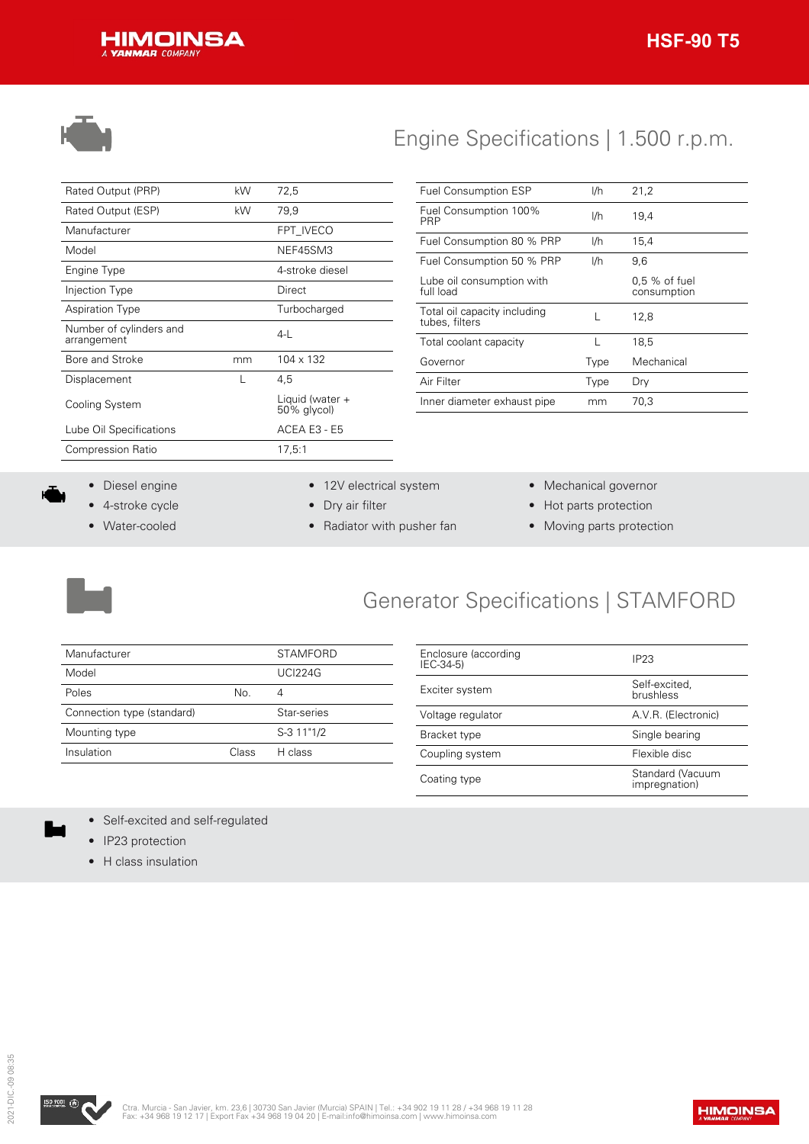



# Engine Specifications | 1.500 r.p.m.

| Rated Output (PRP)                     | kW | 72,5                           |
|----------------------------------------|----|--------------------------------|
| Rated Output (ESP)                     | kW | 79,9                           |
| Manufacturer                           |    | FPT IVECO                      |
| Model                                  |    | NEF45SM3                       |
| Engine Type                            |    | 4-stroke diesel                |
| Injection Type                         |    | Direct                         |
| <b>Aspiration Type</b>                 |    | Turbocharged                   |
| Number of cylinders and<br>arrangement |    | $4-1$                          |
| Bore and Stroke                        | mm | $104 \times 132$               |
| Displacement                           |    | 4.5                            |
| Cooling System                         |    | Liquid (water +<br>50% glycol) |
| Lube Oil Specifications                |    | ACEA E3 - E5                   |
| <b>Compression Ratio</b>               |    | 17,5:1                         |
|                                        |    |                                |

| <b>Fuel Consumption ESP</b>                    | I/h  | 21.2                           |
|------------------------------------------------|------|--------------------------------|
| Fuel Consumption 100%<br>PRP                   | I/h  | 19,4                           |
| Fuel Consumption 80 % PRP                      | I/h  | 15.4                           |
| Fuel Consumption 50 % PRP                      | I/h  | 9,6                            |
| Lube oil consumption with<br>full load         |      | $0.5\%$ of fuel<br>consumption |
| Total oil capacity including<br>tubes, filters |      | 12,8                           |
| Total coolant capacity                         |      | 18,5                           |
| Governor                                       | Type | Mechanical                     |
| Air Filter                                     | Type | Dry                            |
| Inner diameter exhaust pipe                    | mm   | 70,3                           |

- Diesel engine
- 4-stroke cycle
- Water-cooled
- 12V electrical system
- Dry air filter
- Radiator with pusher fan
- Mechanical governor
- Hot parts protection
- Moving parts protection



## Generator Specifications | STAMFORD

| Manufacturer               |       | <b>STAMFORD</b> |
|----------------------------|-------|-----------------|
| Model                      |       | <b>UCI224G</b>  |
| Poles                      | No.   |                 |
| Connection type (standard) |       | Star-series     |
| Mounting type              |       | S-3 11"1/2      |
| Insulation                 | Class | H class         |

| Enclosure (according<br>$IEC-34-5$ | IP <sub>23</sub>                  |
|------------------------------------|-----------------------------------|
| Exciter system                     | Self-excited,<br>brushless        |
| Voltage regulator                  | A.V.R. (Electronic)               |
| Bracket type                       | Single bearing                    |
| Coupling system                    | Flexible disc                     |
| Coating type                       | Standard (Vacuum<br>impregnation) |

- Self-excited and self-regulated
- IP23 protection
- H class insulation

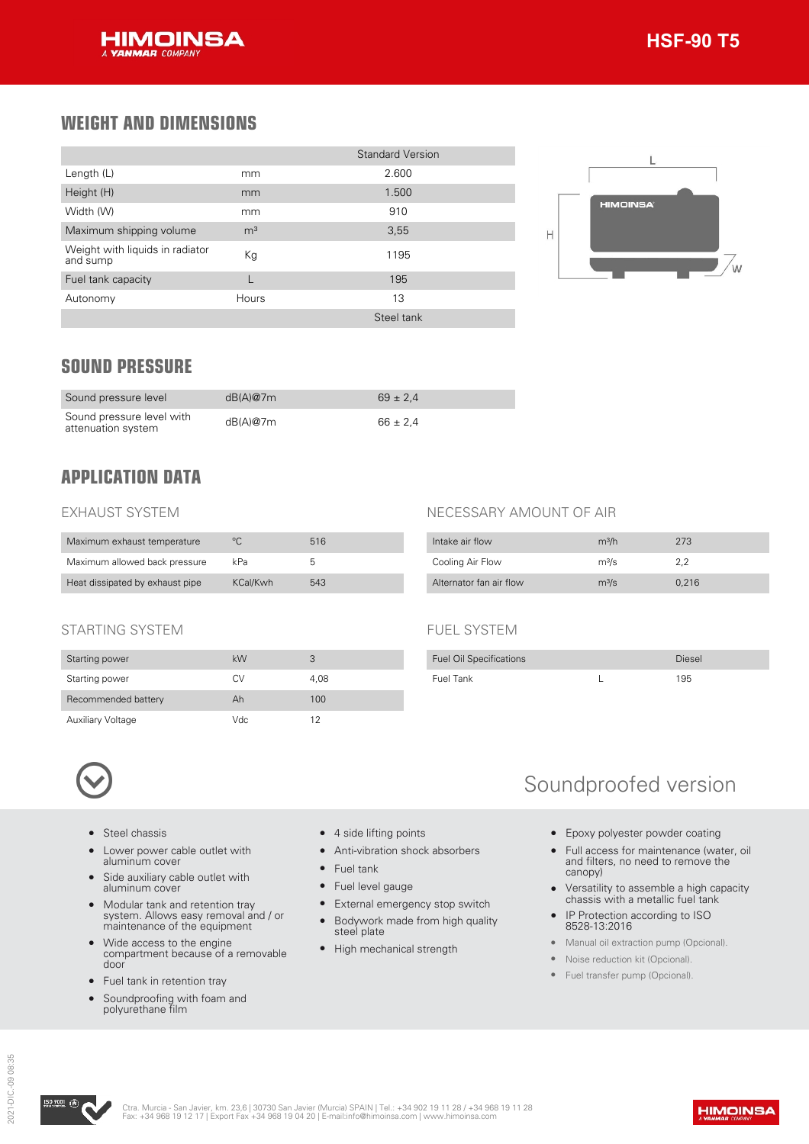

### **WEIGHT AND DIMENSIONS**

|                                             |                | <b>Standard Version</b> |
|---------------------------------------------|----------------|-------------------------|
| Length (L)                                  | mm             | 2.600                   |
| Height (H)                                  | mm             | 1.500                   |
| Width (W)                                   | mm             | 910                     |
| Maximum shipping volume                     | m <sup>3</sup> | 3,55                    |
| Weight with liquids in radiator<br>and sump | Kg             | 1195                    |
| Fuel tank capacity                          |                | 195                     |
| Autonomy                                    | Hours          | 13                      |
|                                             |                | Steel tank              |



### **SOUND PRESSURE**

| Sound pressure level                            | dB(A)@7m | $69 \pm 2.4$ |
|-------------------------------------------------|----------|--------------|
| Sound pressure level with<br>attenuation system | dB(A)@7m | $66 \pm 2.4$ |

### **APPLICATION DATA**

#### EXHAUST SYSTEM

| Maximum exhaust temperature     | ∘∩       | 516 |
|---------------------------------|----------|-----|
| Maximum allowed back pressure   | kPa      | b   |
| Heat dissipated by exhaust pipe | KCal/Kwh | 543 |

### STARTING SYSTEM

| Starting power           | kW  | З    |
|--------------------------|-----|------|
| Starting power           | СV  | 4.08 |
| Recommended battery      | Ah  | 100  |
| <b>Auxiliary Voltage</b> | Vdc | 12   |

### NECESSARY AMOUNT OF AIR

| Intake air flow         | m <sup>3</sup> /h | 273   |
|-------------------------|-------------------|-------|
| Cooling Air Flow        | m <sup>3</sup> /s | 2.2   |
| Alternator fan air flow | $m^3/s$           | 0.216 |

#### FUEL SYSTEM

| <b>Fuel Oil Specifications</b> | Diesel |
|--------------------------------|--------|
| Fuel Tank                      | 195    |



- Steel chassis
- Lower power cable outlet with aluminum cover
- Side auxiliary cable outlet with aluminum cover
- Modular tank and retention tray system. Allows easy removal and / or maintenance of the equipment
- Wide access to the engine compartment because of a removable door
- Fuel tank in retention tray
- Soundproofing with foam and polyurethane film
- 4 side lifting points
- Anti-vibration shock absorbers
- Fuel tank
- Fuel level gauge
- External emergency stop switch
- Bodywork made from high quality steel plate
- High mechanical strength

## Soundproofed version

- Epoxy polyester powder coating
- Full access for maintenance (water, oil and filters, no need to remove the canopy)
- Versatility to assemble a high capacity chassis with a metallic fuel tank
- IP Protection according to ISO 8528-13:2016
- Manual oil extraction pump (Opcional).
- Noise reduction kit (Opcional).
- Fuel transfer pump (Opcional).

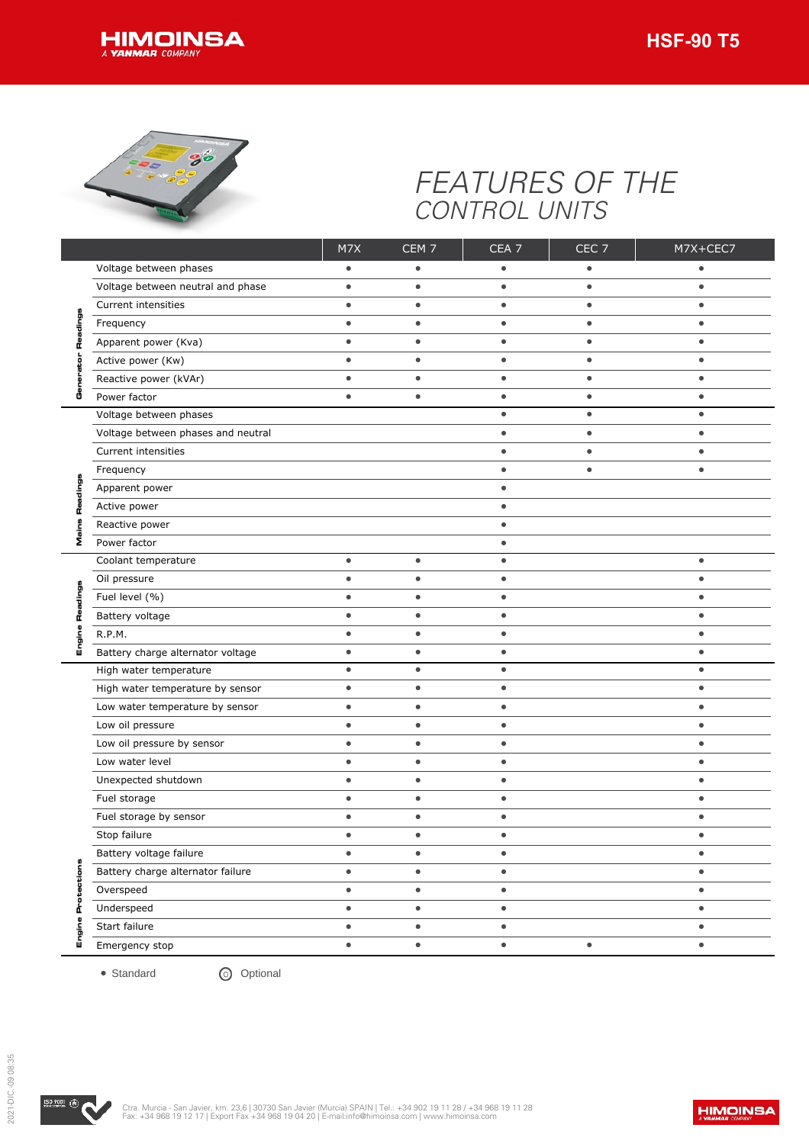



## *FEATURES OF THE CONTROL UNITS*

|              | Voltage between phases             | M7X       | CEM <sub>7</sub> | CEA <sub>7</sub> | CEC <sub>7</sub> | M7X+CEC7  |
|--------------|------------------------------------|-----------|------------------|------------------|------------------|-----------|
|              |                                    | $\bullet$ | $\bullet$        | $\bullet$        | $\bullet$        | $\bullet$ |
|              | Voltage between neutral and phase  | $\bullet$ | $\bullet$        | $\bullet$        | $\bullet$        | $\bullet$ |
|              | Current intensities                | $\bullet$ | $\bullet$        | $\bullet$        | $\bullet$        | $\bullet$ |
|              | Frequency                          | $\bullet$ | $\bullet$        | $\bullet$        | $\bullet$        | $\bullet$ |
|              | Apparent power (Kva)               | $\bullet$ | $\bullet$        | $\bullet$        | $\bullet$        | $\bullet$ |
|              | Active power (Kw)                  | $\bullet$ | $\bullet$        | $\bullet$        | $\bullet$        | $\bullet$ |
|              | Reactive power (kVAr)              | $\bullet$ | $\bullet$        | $\bullet$        | $\bullet$        | $\bullet$ |
| o            | Power factor                       | $\bullet$ | $\bullet$        | $\bullet$        | $\bullet$        | $\bullet$ |
|              | Voltage between phases             |           |                  | $\bullet$        | $\bullet$        | $\bullet$ |
|              | Voltage between phases and neutral |           |                  | $\bullet$        | $\bullet$        | $\bullet$ |
|              | Current intensities                |           |                  | $\bullet$        | $\bullet$        | $\bullet$ |
|              | Frequency                          |           |                  | $\bullet$        | $\bullet$        | $\bullet$ |
|              | Apparent power                     |           |                  | $\bullet$        |                  |           |
|              | Active power                       |           |                  | $\bullet$        |                  |           |
|              | Reactive power                     |           |                  | $\bullet$        |                  |           |
| Σ            | Power factor                       |           |                  | $\bullet$        |                  |           |
|              | Coolant temperature                | $\bullet$ | $\bullet$        | $\bullet$        |                  | $\bullet$ |
|              | Oil pressure                       | $\bullet$ | $\bullet$        | $\bullet$        |                  | $\bullet$ |
|              | Fuel level (%)                     | $\bullet$ | $\bullet$        | $\bullet$        |                  | $\bullet$ |
|              | Battery voltage                    | $\bullet$ | $\bullet$        | $\bullet$        |                  | $\bullet$ |
| ה            | R.P.M.                             | $\bullet$ | $\bullet$        | $\bullet$        |                  | $\bullet$ |
|              | Battery charge alternator voltage  | $\bullet$ | $\bullet$        | $\bullet$        |                  | $\bullet$ |
|              | High water temperature             | $\bullet$ | $\bullet$        | $\bullet$        |                  | $\bullet$ |
|              | High water temperature by sensor   | $\bullet$ | $\bullet$        | $\bullet$        |                  | $\bullet$ |
|              | Low water temperature by sensor    | $\bullet$ | $\bullet$        | $\bullet$        |                  | $\bullet$ |
|              | Low oil pressure                   | $\bullet$ | $\bullet$        | $\bullet$        |                  | $\bullet$ |
|              | Low oil pressure by sensor         | $\bullet$ | $\bullet$        | $\bullet$        |                  | $\bullet$ |
|              | Low water level                    | $\bullet$ | $\bullet$        | $\bullet$        |                  | $\bullet$ |
|              | Unexpected shutdown                | $\bullet$ | $\bullet$        | $\bullet$        |                  | $\bullet$ |
|              | Fuel storage                       | $\bullet$ | $\bullet$        | $\bullet$        |                  | $\bullet$ |
|              | Fuel storage by sensor             | $\bullet$ | $\bullet$        | $\bullet$        |                  | $\bullet$ |
|              | Stop failure                       | $\bullet$ | $\bullet$        | $\bullet$        |                  | $\bullet$ |
|              | Battery voltage failure            |           |                  |                  |                  |           |
|              | Battery charge alternator failure  | $\bullet$ | $\bullet$        | $\bullet$        |                  | $\bullet$ |
| tection      | Overspeed                          | $\bullet$ | $\bullet$        | $\bullet$        |                  | $\bullet$ |
| o<br>ò       | Underspeed                         | $\bullet$ | $\bullet$        | $\bullet$        |                  | $\bullet$ |
|              | Start failure                      | $\bullet$ | $\bullet$        | $\bullet$        |                  | $\bullet$ |
| Ξ<br>ិ<br>ចំ | Emergency stop                     | $\bullet$ | $\bullet$        | $\bullet$        | $\bullet$        | $\bullet$ |

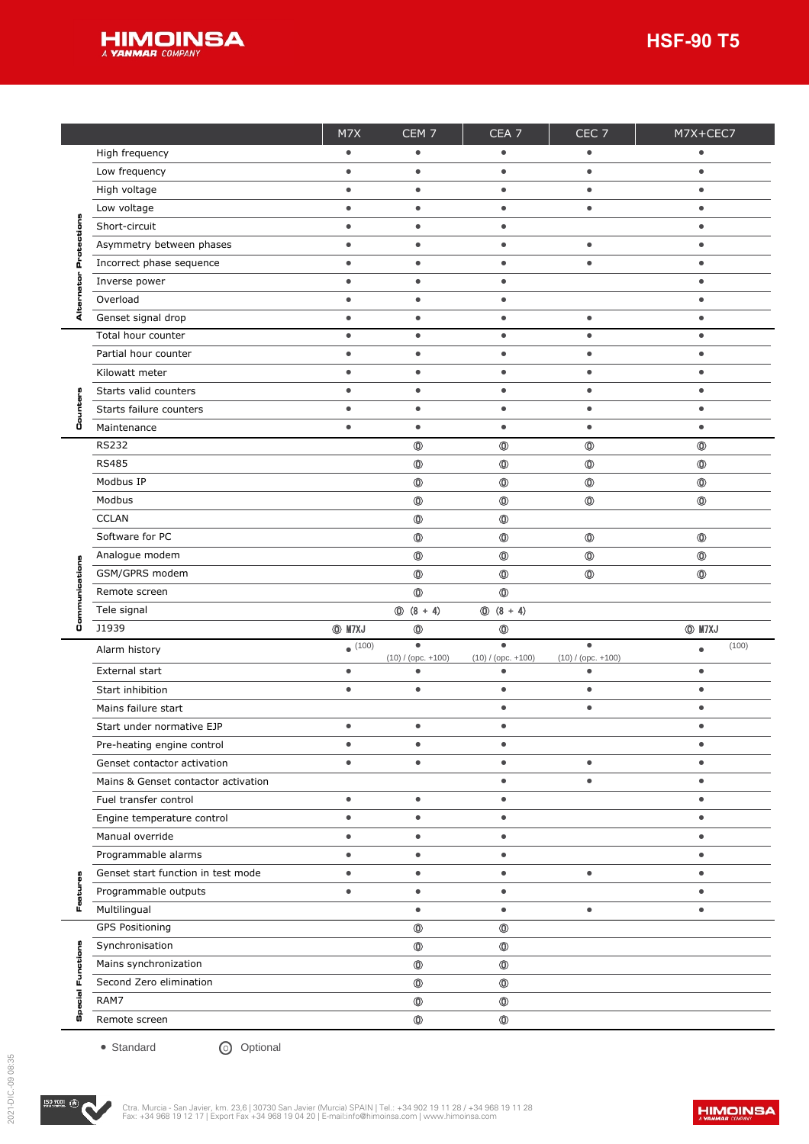

|    |                                     | M7X           | CEM <sub>7</sub>                     | CEA <sub>7</sub>                     | CEC <sub>7</sub>                     | M7X+CEC7       |
|----|-------------------------------------|---------------|--------------------------------------|--------------------------------------|--------------------------------------|----------------|
|    | High frequency                      | $\bullet$     | $\bullet$                            | $\bullet$                            | $\bullet$                            | $\bullet$      |
|    | Low frequency                       | $\bullet$     | $\bullet$                            | $\bullet$                            | $\bullet$                            | $\bullet$      |
|    | High voltage                        | $\bullet$     | $\bullet$                            | $\bullet$                            | $\bullet$                            | $\bullet$      |
|    | Low voltage                         | $\bullet$     | $\bullet$                            | $\bullet$                            | $\bullet$                            | $\bullet$      |
| o  | Short-circuit                       | $\bullet$     | $\bullet$                            | $\bullet$                            |                                      | $\bullet$      |
|    | Asymmetry between phases            | $\bullet$     | $\bullet$                            | $\bullet$                            | $\bullet$                            | $\bullet$      |
| Q  | Incorrect phase sequence            | $\bullet$     | $\bullet$                            | $\bullet$                            | $\bullet$                            | $\bullet$      |
|    | Inverse power                       | $\bullet$     | $\bullet$                            | $\bullet$                            |                                      | $\bullet$      |
|    | Overload                            | $\bullet$     | $\bullet$                            | $\bullet$                            |                                      | $\bullet$      |
| ⋖  | Genset signal drop                  | $\bullet$     | $\bullet$                            | $\bullet$                            | $\bullet$                            | $\bullet$      |
|    | Total hour counter                  | $\bullet$     | $\bullet$                            | $\bullet$                            | $\bullet$                            | $\bullet$      |
|    | Partial hour counter                | $\bullet$     | $\bullet$                            | $\bullet$                            | $\bullet$                            | $\bullet$      |
|    | Kilowatt meter                      | $\bullet$     | $\bullet$                            | $\bullet$                            | $\bullet$                            | $\bullet$      |
|    | Starts valid counters               | $\bullet$     | $\bullet$                            | $\bullet$                            | $\bullet$                            | $\bullet$      |
|    | Starts failure counters             | $\bullet$     | $\bullet$                            | $\bullet$                            | $\bullet$                            | $\bullet$      |
| Ü  | Maintenance                         | $\bullet$     | $\bullet$                            | $\bullet$                            | $\bullet$                            | $\bullet$      |
|    | <b>RS232</b>                        |               | $\circledcirc$                       | $\circledcirc$                       | $\circledcirc$                       | $^\circledR$   |
|    | <b>RS485</b>                        |               | $\circledcirc$                       | $\circledcirc$                       | $\circledcirc$                       | $\circledcirc$ |
|    | Modbus IP                           |               | $\circledcirc$                       | $\circledcirc$                       | $\circledcirc$                       | $^{\circ}$     |
|    | Modbus                              |               | $\circledcirc$                       | $\circledcirc$                       | $\circledcirc$                       | $\circledcirc$ |
|    | <b>CCLAN</b>                        |               | $\circledcirc$                       | $^\circledR$                         |                                      |                |
|    | Software for PC                     |               | $\circledcirc$                       | $\circledcirc$                       | $\circledcirc$                       | $\circledcirc$ |
|    | Analogue modem                      |               | $\circledcirc$                       | $^{\circ}$                           | $\circledcirc$                       | $\circledcirc$ |
|    | GSM/GPRS modem                      |               | $\circledcirc$                       | $\circledcirc$                       | $\circledcirc$                       | $\circledcirc$ |
|    | Remote screen                       |               | $\circledcirc$                       | $\circledcirc$                       |                                      |                |
|    | Tele signal                         |               | $\circled{0}$ (8 + 4)                | $\circled{0}$ (8 + 4)                |                                      |                |
| ů  | J1939                               | <b>O</b> M7XJ | $\circledcirc$                       | $\circledcirc$                       |                                      | <b>INTXJ</b>   |
|    | Alarm history                       | (100)         | $\bullet$                            | $\bullet$                            | $\bullet$                            | $\bullet$      |
|    | External start                      | $\bullet$     | $(10) / ($ opc. $+100)$<br>$\bullet$ | $(10) / ($ opc. $+100)$<br>$\bullet$ | $(10) / ($ opc. $+100)$<br>$\bullet$ | $\bullet$      |
|    | Start inhibition                    | $\bullet$     | $\bullet$                            | $\bullet$                            | $\bullet$                            | $\bullet$      |
|    | Mains failure start                 |               |                                      | $\bullet$                            | $\bullet$                            | $\bullet$      |
|    | Start under normative EJP           | $\bullet$     | $\bullet$                            | $\bullet$                            |                                      | $\bullet$      |
|    |                                     |               |                                      |                                      |                                      |                |
|    |                                     |               |                                      |                                      |                                      |                |
|    | Pre-heating engine control          |               | $\bullet$                            | $\bullet$                            |                                      | ٠              |
|    | Genset contactor activation         | $\bullet$     | $\bullet$                            | ٠                                    | $\bullet$                            | $\bullet$      |
|    | Mains & Genset contactor activation |               |                                      | $\bullet$                            | $\bullet$                            | $\bullet$      |
|    | Fuel transfer control               | $\bullet$     | $\bullet$                            | $\bullet$                            |                                      | $\bullet$      |
|    | Engine temperature control          | $\bullet$     | $\bullet$                            | $\bullet$                            |                                      | $\bullet$      |
|    | Manual override                     | $\bullet$     | $\bullet$                            | $\bullet$                            |                                      | $\bullet$      |
|    | Programmable alarms                 | $\bullet$     | $\bullet$                            | $\bullet$                            |                                      | $\bullet$      |
|    | Genset start function in test mode  | $\bullet$     | $\bullet$                            | $\bullet$                            | $\bullet$                            | $\bullet$      |
|    | Programmable outputs                | $\bullet$     | $\bullet$                            | $\bullet$                            |                                      | $\bullet$      |
|    | Multilingual                        |               | $\bullet$                            | $\bullet$                            | $\bullet$                            | ٠              |
|    | <b>GPS Positioning</b>              |               | $\circledcirc$                       | $^\circledR$                         |                                      |                |
|    | Synchronisation                     |               | $\circledcirc$                       | $\circledcirc$                       |                                      |                |
| 뀸  | Mains synchronization               |               | $\circledcirc$                       | $\circledcirc$                       |                                      |                |
| ш  | Second Zero elimination             |               | $\circledcirc$                       | $\circledcirc$                       |                                      |                |
| o  | RAM7                                |               | $\circledcirc$                       | $\circledcirc$                       |                                      |                |
| U) | Remote screen                       |               | $^\circledR$                         | $\circledcirc$                       |                                      |                |